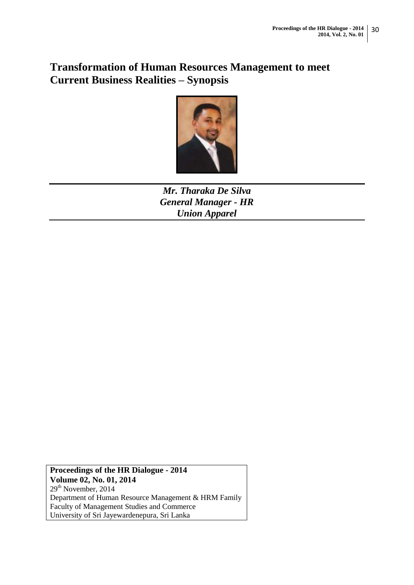# **Transformation of Human Resources Management to meet Current Business Realities – Synopsis**



*Mr. Tharaka De Silva General Manager - HR Union Apparel* 

**Proceedings of the HR Dialogue - 2014 Volume 02, No. 01, 2014** 29<sup>th</sup> November, 2014 Department of Human Resource Management & HRM Family Faculty of Management Studies and Commerce University of Sri Jayewardenepura, Sri Lanka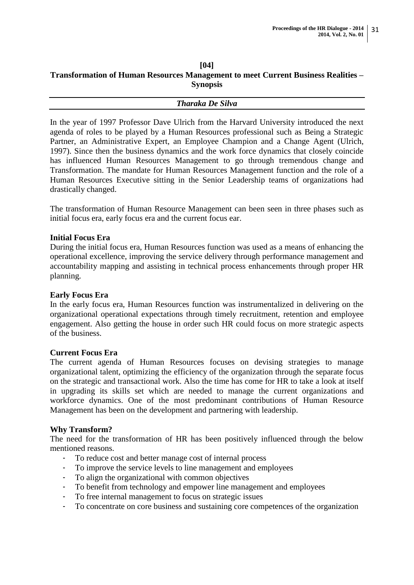#### **[04] Transformation of Human Resources Management to meet Current Business Realities – Synopsis**

#### *Tharaka De Silva*

In the year of 1997 Professor Dave Ulrich from the Harvard University introduced the next agenda of roles to be played by a Human Resources professional such as Being a Strategic Partner, an Administrative Expert, an Employee Champion and a Change Agent (Ulrich, 1997). Since then the business dynamics and the work force dynamics that closely coincide has influenced Human Resources Management to go through tremendous change and Transformation. The mandate for Human Resources Management function and the role of a Human Resources Executive sitting in the Senior Leadership teams of organizations had drastically changed.

The transformation of Human Resource Management can been seen in three phases such as initial focus era, early focus era and the current focus ear.

#### **Initial Focus Era**

During the initial focus era, Human Resources function was used as a means of enhancing the operational excellence, improving the service delivery through performance management and accountability mapping and assisting in technical process enhancements through proper HR planning.

#### **Early Focus Era**

In the early focus era, Human Resources function was instrumentalized in delivering on the organizational operational expectations through timely recruitment, retention and employee engagement. Also getting the house in order such HR could focus on more strategic aspects of the business.

#### **Current Focus Era**

The current agenda of Human Resources focuses on devising strategies to manage organizational talent, optimizing the efficiency of the organization through the separate focus on the strategic and transactional work. Also the time has come for HR to take a look at itself in upgrading its skills set which are needed to manage the current organizations and workforce dynamics. One of the most predominant contributions of Human Resource Management has been on the development and partnering with leadership.

### **Why Transform?**

The need for the transformation of HR has been positively influenced through the below mentioned reasons.

- To reduce cost and better manage cost of internal process
- To improve the service levels to line management and employees
- To align the organizational with common objectives
- To benefit from technology and empower line management and employees
- To free internal management to focus on strategic issues
- To concentrate on core business and sustaining core competences of the organization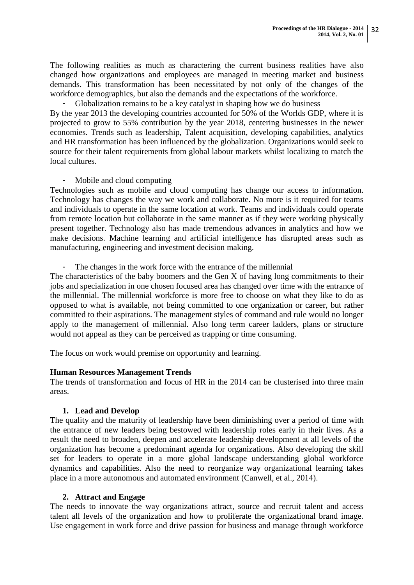The following realities as much as charactering the current business realities have also changed how organizations and employees are managed in meeting market and business demands. This transformation has been necessitated by not only of the changes of the workforce demographics, but also the demands and the expectations of the workforce.

Globalization remains to be a key catalyst in shaping how we do business By the year 2013 the developing countries accounted for 50% of the Worlds GDP, where it is projected to grow to 55% contribution by the year 2018, centering businesses in the newer economies. Trends such as leadership, Talent acquisition, developing capabilities, analytics and HR transformation has been influenced by the globalization. Organizations would seek to source for their talent requirements from global labour markets whilst localizing to match the local cultures.

### - Mobile and cloud computing

Technologies such as mobile and cloud computing has change our access to information. Technology has changes the way we work and collaborate. No more is it required for teams and individuals to operate in the same location at work. Teams and individuals could operate from remote location but collaborate in the same manner as if they were working physically present together. Technology also has made tremendous advances in analytics and how we make decisions. Machine learning and artificial intelligence has disrupted areas such as manufacturing, engineering and investment decision making.

- The changes in the work force with the entrance of the millennial

The characteristics of the baby boomers and the Gen X of having long commitments to their jobs and specialization in one chosen focused area has changed over time with the entrance of the millennial. The millennial workforce is more free to choose on what they like to do as opposed to what is available, not being committed to one organization or career, but rather committed to their aspirations. The management styles of command and rule would no longer apply to the management of millennial. Also long term career ladders, plans or structure would not appeal as they can be perceived as trapping or time consuming.

The focus on work would premise on opportunity and learning.

### **Human Resources Management Trends**

The trends of transformation and focus of HR in the 2014 can be clusterised into three main areas.

# **1. Lead and Develop**

The quality and the maturity of leadership have been diminishing over a period of time with the entrance of new leaders being bestowed with leadership roles early in their lives. As a result the need to broaden, deepen and accelerate leadership development at all levels of the organization has become a predominant agenda for organizations. Also developing the skill set for leaders to operate in a more global landscape understanding global workforce dynamics and capabilities. Also the need to reorganize way organizational learning takes place in a more autonomous and automated environment (Canwell, et al., 2014).

### **2. Attract and Engage**

The needs to innovate the way organizations attract, source and recruit talent and access talent all levels of the organization and how to proliferate the organizational brand image. Use engagement in work force and drive passion for business and manage through workforce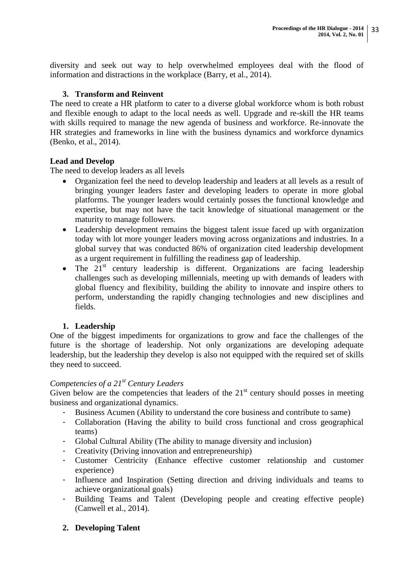diversity and seek out way to help overwhelmed employees deal with the flood of information and distractions in the workplace (Barry, et al., 2014).

# **3. Transform and Reinvent**

The need to create a HR platform to cater to a diverse global workforce whom is both robust and flexible enough to adapt to the local needs as well. Upgrade and re-skill the HR teams with skills required to manage the new agenda of business and workforce. Re-innovate the HR strategies and frameworks in line with the business dynamics and workforce dynamics (Benko, et al., 2014).

# **Lead and Develop**

The need to develop leaders as all levels

- Organization feel the need to develop leadership and leaders at all levels as a result of bringing younger leaders faster and developing leaders to operate in more global platforms. The younger leaders would certainly posses the functional knowledge and expertise, but may not have the tacit knowledge of situational management or the maturity to manage followers.
- Leadership development remains the biggest talent issue faced up with organization today with lot more younger leaders moving across organizations and industries. In a global survey that was conducted 86% of organization cited leadership development as a urgent requirement in fulfilling the readiness gap of leadership.
- $\bullet$  The 21<sup>st</sup> century leadership is different. Organizations are facing leadership challenges such as developing millennials, meeting up with demands of leaders with global fluency and flexibility, building the ability to innovate and inspire others to perform, understanding the rapidly changing technologies and new disciplines and fields.

# **1. Leadership**

One of the biggest impediments for organizations to grow and face the challenges of the future is the shortage of leadership. Not only organizations are developing adequate leadership, but the leadership they develop is also not equipped with the required set of skills they need to succeed.

# *Competencies of a 21st Century Leaders*

Given below are the competencies that leaders of the  $21<sup>st</sup>$  century should posses in meeting business and organizational dynamics.

- Business Acumen (Ability to understand the core business and contribute to same)
- Collaboration (Having the ability to build cross functional and cross geographical teams)
- Global Cultural Ability (The ability to manage diversity and inclusion)
- Creativity (Driving innovation and entrepreneurship)
- Customer Centricity (Enhance effective customer relationship and customer experience)
- Influence and Inspiration (Setting direction and driving individuals and teams to achieve organizational goals)
- Building Teams and Talent (Developing people and creating effective people) (Canwell et al., 2014).

# **2. Developing Talent**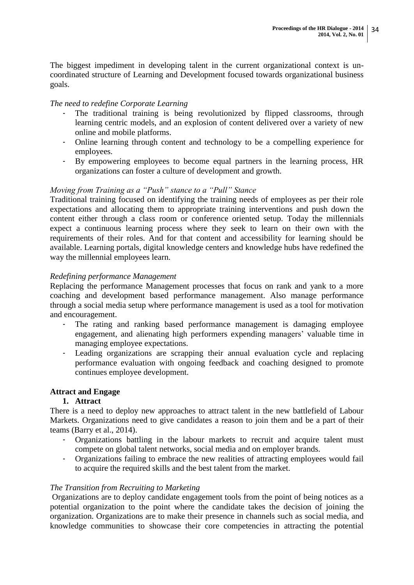The biggest impediment in developing talent in the current organizational context is uncoordinated structure of Learning and Development focused towards organizational business goals.

### *The need to redefine Corporate Learning*

- The traditional training is being revolutionized by flipped classrooms, through learning centric models, and an explosion of content delivered over a variety of new online and mobile platforms.
- Online learning through content and technology to be a compelling experience for employees.
- By empowering employees to become equal partners in the learning process, HR organizations can foster a culture of development and growth.

### *Moving from Training as a "Push" stance to a "Pull" Stance*

Traditional training focused on identifying the training needs of employees as per their role expectations and allocating them to appropriate training interventions and push down the content either through a class room or conference oriented setup. Today the millennials expect a continuous learning process where they seek to learn on their own with the requirements of their roles. And for that content and accessibility for learning should be available. Learning portals, digital knowledge centers and knowledge hubs have redefined the way the millennial employees learn.

### *Redefining performance Management*

Replacing the performance Management processes that focus on rank and yank to a more coaching and development based performance management. Also manage performance through a social media setup where performance management is used as a tool for motivation and encouragement.

- The rating and ranking based performance management is damaging employee engagement, and alienating high performers expending managers' valuable time in managing employee expectations.
- Leading organizations are scrapping their annual evaluation cycle and replacing performance evaluation with ongoing feedback and coaching designed to promote continues employee development.

# **Attract and Engage**

### **1. Attract**

There is a need to deploy new approaches to attract talent in the new battlefield of Labour Markets. Organizations need to give candidates a reason to join them and be a part of their teams (Barry et al., 2014).

- Organizations battling in the labour markets to recruit and acquire talent must compete on global talent networks, social media and on employer brands.
- Organizations failing to embrace the new realities of attracting employees would fail to acquire the required skills and the best talent from the market.

### *The Transition from Recruiting to Marketing*

Organizations are to deploy candidate engagement tools from the point of being notices as a potential organization to the point where the candidate takes the decision of joining the organization. Organizations are to make their presence in channels such as social media, and knowledge communities to showcase their core competencies in attracting the potential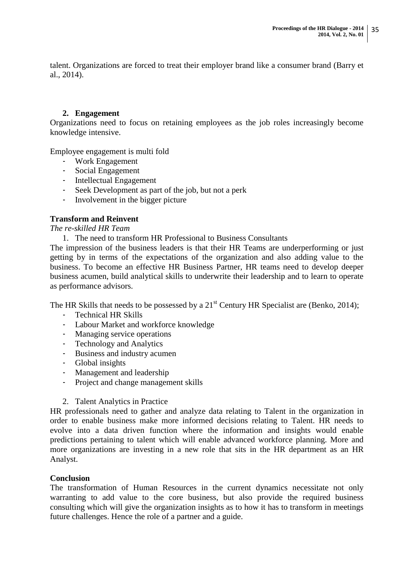talent. Organizations are forced to treat their employer brand like a consumer brand (Barry et al., 2014).

### **2. Engagement**

Organizations need to focus on retaining employees as the job roles increasingly become knowledge intensive.

Employee engagement is multi fold

- Work Engagement
- Social Engagement
- Intellectual Engagement
- Seek Development as part of the job, but not a perk
- Involvement in the bigger picture

### **Transform and Reinvent**

*The re-skilled HR Team* 

1. The need to transform HR Professional to Business Consultants

The impression of the business leaders is that their HR Teams are underperforming or just getting by in terms of the expectations of the organization and also adding value to the business. To become an effective HR Business Partner, HR teams need to develop deeper business acumen, build analytical skills to underwrite their leadership and to learn to operate as performance advisors.

The HR Skills that needs to be possessed by a  $21<sup>st</sup>$  Century HR Specialist are (Benko, 2014);

- Technical HR Skills
- Labour Market and workforce knowledge
- Managing service operations
- Technology and Analytics
- Business and industry acumen
- Global insights
- Management and leadership
- Project and change management skills
- 2. Talent Analytics in Practice

HR professionals need to gather and analyze data relating to Talent in the organization in order to enable business make more informed decisions relating to Talent. HR needs to evolve into a data driven function where the information and insights would enable predictions pertaining to talent which will enable advanced workforce planning. More and more organizations are investing in a new role that sits in the HR department as an HR Analyst.

### **Conclusion**

The transformation of Human Resources in the current dynamics necessitate not only warranting to add value to the core business, but also provide the required business consulting which will give the organization insights as to how it has to transform in meetings future challenges. Hence the role of a partner and a guide.